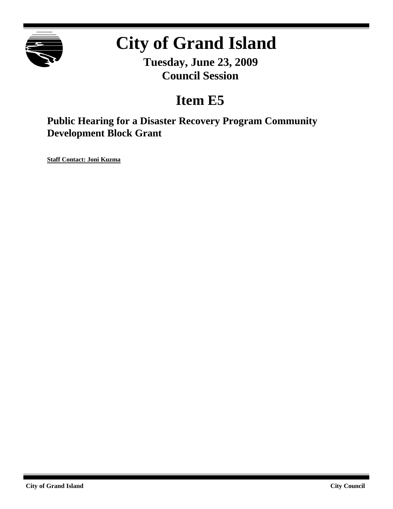

# **City of Grand Island**

**Tuesday, June 23, 2009 Council Session**

# **Item E5**

**Public Hearing for a Disaster Recovery Program Community Development Block Grant**

**Staff Contact: Joni Kuzma**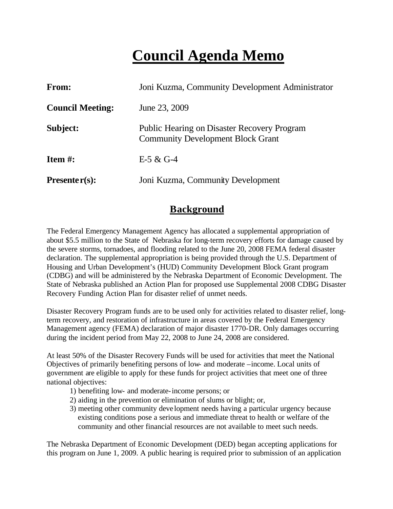# **Council Agenda Memo**

| <b>From:</b>            | Joni Kuzma, Community Development Administrator                                                |
|-------------------------|------------------------------------------------------------------------------------------------|
| <b>Council Meeting:</b> | June 23, 2009                                                                                  |
| Subject:                | <b>Public Hearing on Disaster Recovery Program</b><br><b>Community Development Block Grant</b> |
| Item $#$ :              | $E-5 & C-4$                                                                                    |
| Presenter $(s)$ :       | Joni Kuzma, Community Development                                                              |

#### **Background**

The Federal Emergency Management Agency has allocated a supplemental appropriation of about \$5.5 million to the State of Nebraska for long-term recovery efforts for damage caused by the severe storms, tornadoes, and flooding related to the June 20, 2008 FEMA federal disaster declaration. The supplemental appropriation is being provided through the U.S. Department of Housing and Urban Development's (HUD) Community Development Block Grant program (CDBG) and will be administered by the Nebraska Department of Economic Development. The State of Nebraska published an Action Plan for proposed use Supplemental 2008 CDBG Disaster Recovery Funding Action Plan for disaster relief of unmet needs.

Disaster Recovery Program funds are to be used only for activities related to disaster relief, longterm recovery, and restoration of infrastructure in areas covered by the Federal Emergency Management agency (FEMA) declaration of major disaster 1770-DR. Only damages occurring during the incident period from May 22, 2008 to June 24, 2008 are considered.

At least 50% of the Disaster Recovery Funds will be used for activities that meet the National Objectives of primarily benefiting persons of low- and moderate –income. Local units of government are eligible to apply for these funds for project activities that meet one of three national objectives:

- 1) benefiting low- and moderate-income persons; or
- 2) aiding in the prevention or elimination of slums or blight; or,
- 3) meeting other community deve lopment needs having a particular urgency because existing conditions pose a serious and immediate threat to health or welfare of the community and other financial resources are not available to meet such needs.

The Nebraska Department of Economic Development (DED) began accepting applications for this program on June 1, 2009. A public hearing is required prior to submission of an application